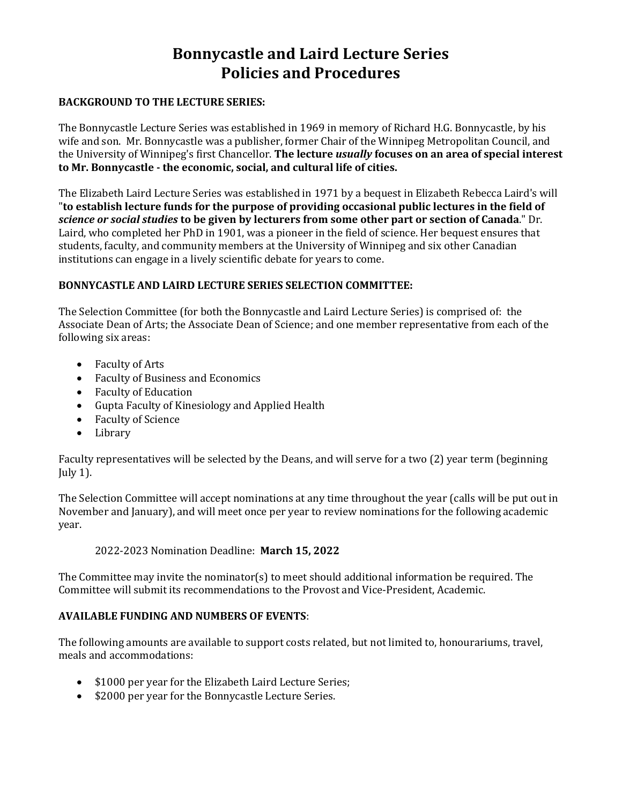# **Bonnycastle and Laird Lecture Series Policies and Procedures**

#### **BACKGROUND TO THE LECTURE SERIES:**

The Bonnycastle Lecture Series was established in 1969 in memory of Richard H.G. Bonnycastle, by his wife and son. Mr. Bonnycastle was a publisher, former Chair of the Winnipeg Metropolitan Council, and the University of Winnipeg's first Chancellor. **The lecture** *usually* **focuses on an area of special interest to Mr. Bonnycastle - the economic, social, and cultural life of cities.**

The Elizabeth Laird Lecture Series was established in 1971 by a bequest in Elizabeth Rebecca Laird's will "**to establish lecture funds for the purpose of providing occasional public lectures in the field of**  *science or social studies* **to be given by lecturers from some other part or section of Canada**." Dr. Laird, who completed her PhD in 1901, was a pioneer in the field of science. Her bequest ensures that students, faculty, and community members at the University of Winnipeg and six other Canadian institutions can engage in a lively scientific debate for years to come.

#### **BONNYCASTLE AND LAIRD LECTURE SERIES SELECTION COMMITTEE:**

The Selection Committee (for both the Bonnycastle and Laird Lecture Series) is comprised of: the Associate Dean of Arts; the Associate Dean of Science; and one member representative from each of the following six areas:

- Faculty of Arts
- Faculty of Business and Economics
- Faculty of Education
- Gupta Faculty of Kinesiology and Applied Health
- Faculty of Science
- Library

Faculty representatives will be selected by the Deans, and will serve for a two (2) year term (beginning July 1).

The Selection Committee will accept nominations at any time throughout the year (calls will be put out in November and January), and will meet once per year to review nominations for the following academic year.

#### 2022-2023 Nomination Deadline: **March 15, 2022**

The Committee may invite the nominator(s) to meet should additional information be required. The Committee will submit its recommendations to the Provost and Vice-President, Academic.

#### **AVAILABLE FUNDING AND NUMBERS OF EVENTS**:

The following amounts are available to support costs related, but not limited to, honourariums, travel, meals and accommodations:

- \$1000 per year for the Elizabeth Laird Lecture Series;
- \$2000 per year for the Bonnycastle Lecture Series.